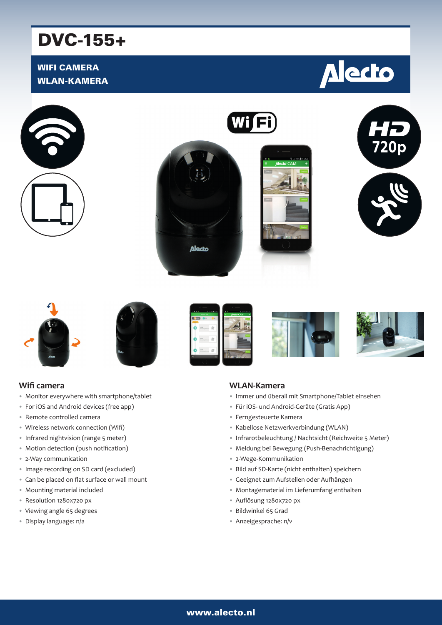# DVC-155+

# WIFI CAMERA WLAN-KAMERA





















#### **Wifi camera**

- Monitor everywhere with smartphone/tablet
- For iOS and Android devices (free app)
- Remote controlled camera
- Wireless network connection (Wifi)
- Infrared nightvision (range 5 meter)
- Motion detection (push notification)
- 2-Way communication
- Image recording on SD card (excluded)
- Can be placed on flat surface or wall mount
- Mounting material included
- Resolution 1280x720 px
- Viewing angle 65 degrees
- Display language: n/a

#### **WLAN-Kamera**

- Immer und überall mit Smartphone/Tablet einsehen
- Für iOS- und Android-Geräte (Gratis App)
- Ferngesteuerte Kamera
- Kabellose Netzwerkverbindung (WLAN)
- Infrarotbeleuchtung / Nachtsicht (Reichweite 5 Meter)
- Meldung bei Bewegung (Push-Benachrichtigung)
- 2-Wege-Kommunikation
- Bild auf SD-Karte (nicht enthalten) speichern
- Geeignet zum Aufstellen oder Aufhängen
- Montagematerial im Lieferumfang enthalten
- Auflösung 1280x720 px
- Bildwinkel 65 Grad
- Anzeigesprache: n/v

### www.alecto.nl